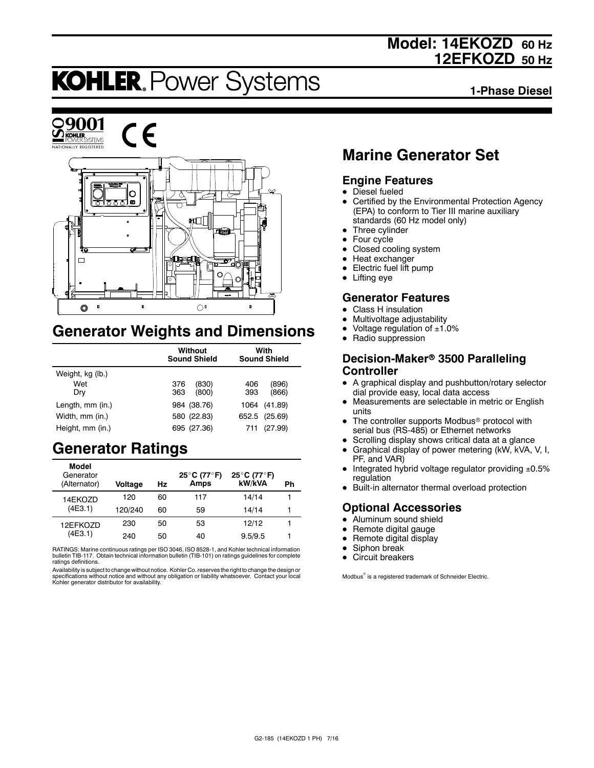## **Model: 14EKOZD 60 Hz 12EFKOZD 50 Hz**

# **KOHLER. Power Systems**

**1-Phase Diesel**



## **Generator Weights and Dimensions**

|                  | Without<br><b>Sound Shield</b> | With<br><b>Sound Shield</b> |  |
|------------------|--------------------------------|-----------------------------|--|
| Weight, kg (lb.) |                                |                             |  |
| Wet              | 376<br>(830)                   | (896)<br>406                |  |
| Dry              | 363<br>(800)                   | (866)<br>393                |  |
| Length, mm (in.) | 984 (38.76)                    | (41.89)<br>1064             |  |
| Width, mm (in.)  | 580 (22.83)                    | 652.5 (25.69)               |  |
| Height, mm (in.) | 695 (27.36)                    | (27.99)<br>711              |  |

## **Generator Ratings**

| Model<br>Generator<br>(Alternator) | Voltage | Hz | 25°C (77°F)<br>Amps | 25°C (77°F)<br>kW/kVA | Ph |
|------------------------------------|---------|----|---------------------|-----------------------|----|
| 14EKOZD                            | 120     | 60 | 117                 | 14/14                 |    |
| (4E3.1)                            | 120/240 | 60 | 59                  | 14/14                 |    |
| 12EFKOZD                           | 230     | 50 | 53                  | 12/12                 |    |
| (4E3.1)                            | 240     | 50 | 40                  | 9.5/9.5               | 1  |

RATINGS: Marine continuous ratings per ISO 3046, ISO 8528-1, and Kohler technical information bulletin TIB-117. Obtain technical information bulletin (TIB-101) on ratings guidelines for complete ratings definitions.

Availability is subject to change without notice. Kohler Co. reserves the right to change the design or specifications without notice and without any obligation or liability whatsoever. Contact your local Kohler generator distributor for availability.

## **Marine Generator Set**

### **Engine Features**

- $\bullet$  Diesel fueled
- Certified by the Environmental Protection Agency (EPA) to conform to Tier III marine auxiliary standards (60 Hz model only)
- $\bullet$  Three cylinder
- $\bullet$  Four cycle
- Closed cooling system
- $\bullet$  Heat exchanger
- Electric fuel lift pump
- $\bullet$  Lifting eye

### **Generator Features**

- **Class H** insulation
- Multivoltage adjustability
- Voltage regulation of  $±1.0%$
- Radio suppression

#### **Decision-Maker<sup>®</sup> 3500 Paralleling Controller**

- A graphical display and pushbutton/rotary selector dial provide easy, local data access
- Measurements are selectable in metric or English units
- The controller supports Modbus<sup>®</sup> protocol with serial bus (RS-485) or Ethernet networks
- Scrolling display shows critical data at a glance
- $\bullet$  Graphical display of power metering (kW, kVA, V, I, PF, and VAR)
- $\bullet$  Integrated hybrid voltage regulator providing  $\pm 0.5\%$ regulation
- Built-in alternator thermal overload protection

## **Optional Accessories**

- $\bullet$  Aluminum sound shield
- $\bullet$  Remote digital gauge
- $\bullet$  Remote digital display
- Siphon break
- $\bullet$  Circuit breakers

Modbus<sup>®</sup> is a registered trademark of Schneider Electric.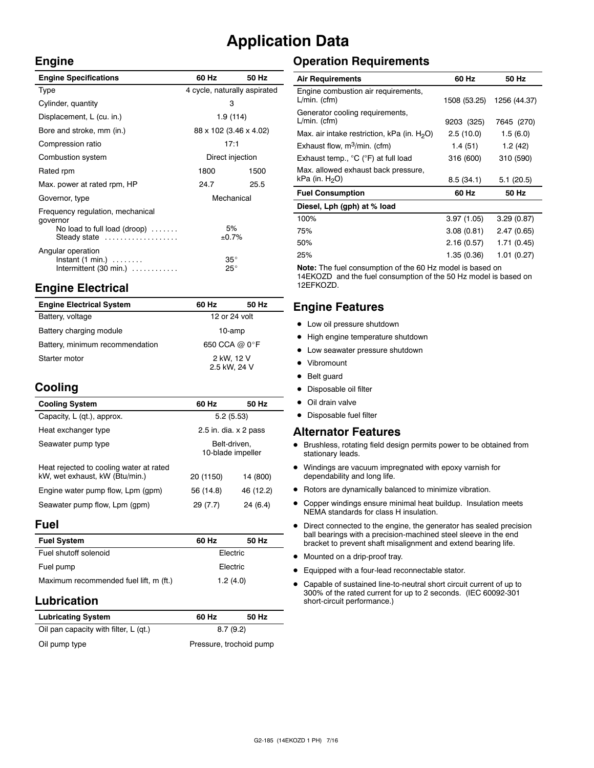## **Application Data**

 $\bar{z}$ 

#### **Engine**

| <b>Engine Specifications</b>                                                                 | 60 Hz                        | 50 Hz       |  |
|----------------------------------------------------------------------------------------------|------------------------------|-------------|--|
| Type                                                                                         | 4 cycle, naturally aspirated |             |  |
| Cylinder, quantity                                                                           | 3                            |             |  |
| Displacement, L (cu. in.)                                                                    | 1.9(114)                     |             |  |
| Bore and stroke, mm (in.)                                                                    | 88 x 102 (3.46 x 4.02)       |             |  |
| Compression ratio                                                                            | 17:1                         |             |  |
| Combustion system                                                                            | Direct injection             |             |  |
| Rated rpm                                                                                    | 1800                         | 1500        |  |
| Max. power at rated rpm, HP                                                                  | 24.7                         | 25.5        |  |
| Governor, type                                                                               | Mechanical                   |             |  |
| Frequency regulation, mechanical<br>governor<br>No load to full load (droop)<br>Steady state |                              | 5%<br>±0.7% |  |
| Angular operation<br>$Instant (1 min.) \ldots \ldots$<br>Intermittent $(30 \text{ min.})$    | $35^{\circ}$<br>$25^{\circ}$ |             |  |

## **Engine Electrical**

| <b>Engine Electrical System</b> | 60 Hz                      | 50 Hz |
|---------------------------------|----------------------------|-------|
| Battery, voltage                | 12 or 24 volt              |       |
| Battery charging module         | 10-amp                     |       |
| Battery, minimum recommendation | 650 CCA @ 0°F              |       |
| Starter motor                   | 2 kW, 12 V<br>2.5 kW, 24 V |       |

## **Cooling**

| <b>Cooling System</b>                                                     | 60 Hz                             | 50 Hz     |
|---------------------------------------------------------------------------|-----------------------------------|-----------|
| Capacity, L (qt.), approx.                                                | 5.2(5.53)                         |           |
| Heat exchanger type                                                       | 2.5 in. dia. $\times$ 2 pass      |           |
| Seawater pump type                                                        | Belt-driven.<br>10-blade impeller |           |
| Heat rejected to cooling water at rated<br>kW, wet exhaust, kW (Btu/min.) | 20 (1150)                         | 14 (800)  |
| Engine water pump flow, Lpm (gpm)                                         | 56 (14.8)                         | 46 (12.2) |
| Seawater pump flow, Lpm (gpm)                                             | 29 (7.7)                          | 24 (6.4)  |

#### **Fuel**

| <b>Fuel System</b>                     | 60 Hz    | 50 Hz |  |
|----------------------------------------|----------|-------|--|
| Fuel shutoff solenoid                  | Electric |       |  |
| Fuel pump                              | Electric |       |  |
| Maximum recommended fuel lift, m (ft.) | 1.2(4.0) |       |  |

### **Lubrication**

| <b>Lubricating System</b>             | 60 Hz                   | 50 Hz |  |
|---------------------------------------|-------------------------|-------|--|
| Oil pan capacity with filter, L (qt.) | 8.7(9.2)                |       |  |
| Oil pump type                         | Pressure, trochoid pump |       |  |

## **Operation Requirements**

| <b>Air Requirements</b>                                  | 60 Hz        | 50 Hz        |
|----------------------------------------------------------|--------------|--------------|
| Engine combustion air requirements,<br>$L/min.$ (cfm)    | 1508 (53.25) | 1256 (44.37) |
| Generator cooling requirements,<br>$L/min.$ (cfm)        | 9203 (325)   | 7645 (270)   |
| Max. air intake restriction, kPa (in. $H_2O$ )           | 2.5(10.0)    | 1.5(6.0)     |
| Exhaust flow, $m^3/m$ in. (cfm)                          | 1.4(51)      | 1.2(42)      |
| Exhaust temp., °C (°F) at full load                      | 316 (600)    | 310 (590)    |
| Max. allowed exhaust back pressure,<br>kPa (in. $H_2O$ ) | 8.5(34.1)    | 5.1(20.5)    |
| <b>Fuel Consumption</b>                                  | 60 Hz        | 50 Hz        |
| Diesel, Lph (gph) at % load                              |              |              |
| 100%                                                     | 3.97(1.05)   | 3.29(0.87)   |
| 75%                                                      | 3.08(0.81)   | 2.47(0.65)   |
| 50%                                                      | 2.16(0.57)   | 1.71 (0.45)  |
| 25%                                                      | 1.35 (0.36)  | 1.01 (0.27)  |

**Note:** The fuel consumption of the 60 Hz model is based on 14EKOZD and the fuel consumption of the 50 Hz model is based on 12EFKOZD.

## **Engine Features**

- $\bullet$  Low oil pressure shutdown
- High engine temperature shutdown
- Low seawater pressure shutdown
- Vibromount
- Belt guard
- Disposable oil filter
- $\bullet$  Oil drain valve
- Disposable fuel filter

#### **Alternator Features**

- $\bullet$  Brushless, rotating field design permits power to be obtained from stationary leads.
- $\bullet$  Windings are vacuum impregnated with epoxy varnish for dependability and long life.
- $\bullet$  Rotors are dynamically balanced to minimize vibration.
- Copper windings ensure minimal heat buildup. Insulation meets NEMA standards for class H insulation.
- $\bullet$  Direct connected to the engine, the generator has sealed precision ball bearings with a precision-machined steel sleeve in the end bracket to prevent shaft misalignment and extend bearing life.
- $\bullet$  Mounted on a drip-proof tray.
- $\bullet$  Equipped with a four-lead reconnectable stator.
- Capable of sustained line-to-neutral short circuit current of up to 300% of the rated current for up to 2 seconds. (IEC 60092-301 short-circuit performance.)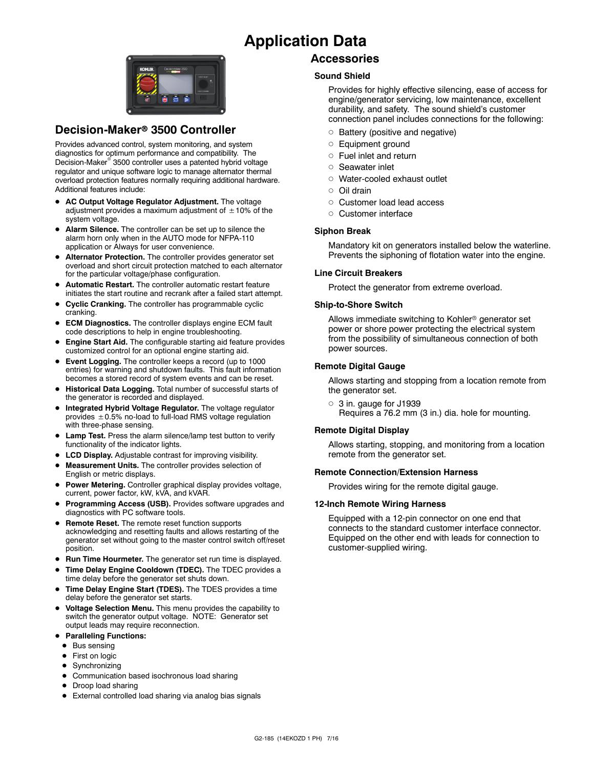## **Application Data**



### **Decision-Maker<sup>®</sup> 3500 Controller**

Provides advanced control, system monitoring, and system diagnostics for optimum performance and compatibility. The Decision-Maker<sup>®</sup> 3500 controller uses a patented hybrid voltage regulator and unique software logic to manage alternator thermal overload protection features normally requiring additional hardware. Additional features include:

- AC Output Voltage Regulator Adjustment. The voltage adjustment provides a maximum adjustment of  $\pm 10\%$  of the system voltage.
- Alarm Silence. The controller can be set up to silence the alarm horn only when in the AUTO mode for NFPA-110 application or Always for user convenience.
- $\bullet$  Alternator Protection. The controller provides generator set overload and short circuit protection matched to each alternator for the particular voltage/phase configuration.
- $\bullet$  Automatic Restart. The controller automatic restart feature initiates the start routine and recrank after a failed start attempt.
- **Cyclic Cranking.** The controller has programmable cyclic cranking.
- **ECM Diagnostics.** The controller displays engine ECM fault code descriptions to help in engine troubleshooting.
- **Engine Start Aid.** The configurable starting aid feature provides customized control for an optional engine starting aid.
- **Event Logging.** The controller keeps a record (up to 1000 entries) for warning and shutdown faults. This fault information becomes a stored record of system events and can be reset.
- **Historical Data Logging.** Total number of successful starts of the generator is recorded and displayed.
- $\bullet$  Integrated Hybrid Voltage Regulator. The voltage regulator provides  $\pm$  0.5% no-load to full-load RMS voltage regulation with three-phase sensing.
- **Lamp Test.** Press the alarm silence/lamp test button to verify functionality of the indicator lights.
- **LCD Display.** Adjustable contrast for improving visibility.
- Measurement Units. The controller provides selection of English or metric displays.
- **Power Metering.** Controller graphical display provides voltage, current, power factor, kW, kVA, and kVAR.
- **Programming Access (USB).** Provides software upgrades and diagnostics with PC software tools.
- **Remote Reset.** The remote reset function supports acknowledging and resetting faults and allows restarting of the generator set without going to the master control switch off/reset position.
- **Run Time Hourmeter.** The generator set run time is displayed.
- Time Delay Engine Cooldown (TDEC). The TDEC provides a time delay before the generator set shuts down.
- Time Delay Engine Start (TDES). The TDES provides a time delay before the generator set starts.
- **Voltage Selection Menu.** This menu provides the capability to switch the generator output voltage. NOTE: Generator set output leads may require reconnection.
- **Paralleling Functions:** 
	- $\bullet$  Bus sensing
	- First on logic
	- Synchronizing
	- Communication based isochronous load sharing
	- Droop load sharing
	- External controlled load sharing via analog bias signals

#### **Accessories**

#### **Sound Shield**

Provides for highly effective silencing, ease of access for engine/generator servicing, low maintenance, excellent durability, and safety. The sound shield's customer connection panel includes connections for the following:

- $\circ$  Battery (positive and negative)
- o Equipment ground
- $\circ$  Fuel inlet and return
- o Seawater inlet
- o Water-cooled exhaust outlet
- $\cap$  Oil drain
- o Customer load lead access
- o Customer interface

#### **Siphon Break**

Mandatory kit on generators installed below the waterline. Prevents the siphoning of flotation water into the engine.

#### **Line Circuit Breakers**

Protect the generator from extreme overload.

#### **Ship-to-Shore Switch**

Allows immediate switching to Kohler<sup>®</sup> generator set power or shore power protecting the electrical system from the possibility of simultaneous connection of both power sources.

#### **Remote Digital Gauge**

Allows starting and stopping from a location remote from the generator set.

 $\circ$  3 in. gauge for J1939 Requires a 76.2 mm (3 in.) dia. hole for mounting.

#### **Remote Digital Display**

Allows starting, stopping, and monitoring from a location remote from the generator set.

#### **Remote Connection/Extension Harness**

Provides wiring for the remote digital gauge.

#### **12-Inch Remote Wiring Harness**

Equipped with a 12-pin connector on one end that connects to the standard customer interface connector. Equipped on the other end with leads for connection to customer-supplied wiring.